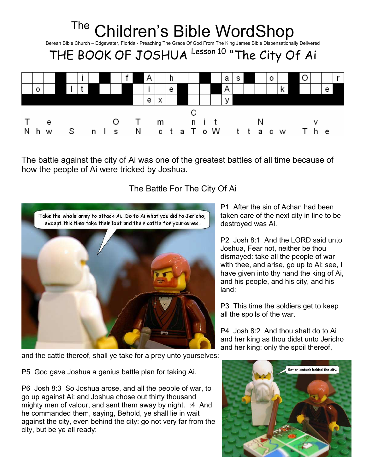

The battle against the city of Ai was one of the greatest battles of all time because of how the people of Ai were tricked by Joshua.

## The Battle For The City Of Ai



P1 After the sin of Achan had been taken care of the next city in line to be destroyed was Ai.

P2 Josh 8:1 And the LORD said unto Joshua, Fear not, neither be thou dismayed: take all the people of war with thee, and arise, go up to Ai: see, I have given into thy hand the king of Ai, and his people, and his city, and his land:

P3 This time the soldiers get to keep all the spoils of the war.

P4 Josh 8:2 And thou shalt do to Ai and her king as thou didst unto Jericho and her king: only the spoil thereof,

and the cattle thereof, shall ye take for a prey unto yourselves:

P5 God gave Joshua a genius battle plan for taking Ai.

P6 Josh 8:3 So Joshua arose, and all the people of war, to go up against Ai: and Joshua chose out thirty thousand mighty men of valour, and sent them away by night. :4 And he commanded them, saying, Behold, ye shall lie in wait against the city, even behind the city: go not very far from the city, but be ye all ready:

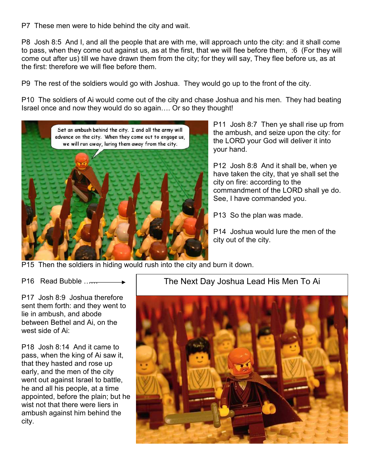P7 These men were to hide behind the city and wait.

P8 Josh 8:5 And I, and all the people that are with me, will approach unto the city: and it shall come to pass, when they come out against us, as at the first, that we will flee before them, :6 (For they will come out after us) till we have drawn them from the city; for they will say, They flee before us, as at the first: therefore we will flee before them.

P9 The rest of the soldiers would go with Joshua. They would go up to the front of the city.

P10 The soldiers of Ai would come out of the city and chase Joshua and his men. They had beating Israel once and now they would do so again…. Or so they thought!



P11 Josh 8:7 Then ye shall rise up from the ambush, and seize upon the city: for the LORD your God will deliver it into your hand.

P12 Josh 8:8 And it shall be, when ye have taken the city, that ye shall set the city on fire: according to the commandment of the LORD shall ye do. See, I have commanded you.

P13 So the plan was made.

P14 Joshua would lure the men of the city out of the city.

P15 Then the soldiers in hiding would rush into the city and burn it down.

P16 Read Bubble ……

P17 Josh 8:9 Joshua therefore sent them forth: and they went to lie in ambush, and abode between Bethel and Ai, on the west side of Ai:

P18 Josh 8:14 And it came to pass, when the king of Ai saw it, that they hasted and rose up early, and the men of the city went out against Israel to battle, he and all his people, at a time appointed, before the plain; but he wist not that there were liers in ambush against him behind the city.

# The Next Day Joshua Lead His Men To Ai

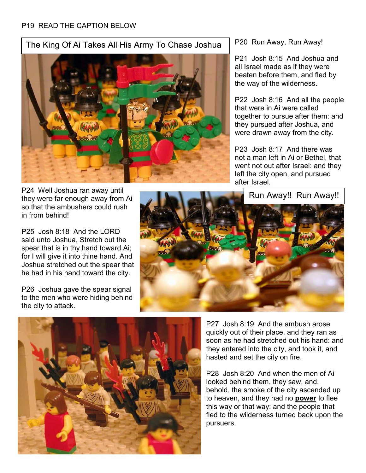#### P19 READ THE CAPTION BELOW

### The King Of Ai Takes All His Army To Chase Joshua



P24 Well Joshua ran away until they were far enough away from Ai so that the ambushers could rush in from behind!

P25 Josh 8:18 And the LORD said unto Joshua, Stretch out the spear that is in thy hand toward Ai; for I will give it into thine hand. And Joshua stretched out the spear that he had in his hand toward the city.

P26 Joshua gave the spear signal to the men who were hiding behind the city to attack.

P20 Run Away, Run Away!

P21 Josh 8:15 And Joshua and all Israel made as if they were beaten before them, and fled by the way of the wilderness.

P22 Josh 8:16 And all the people that were in Ai were called together to pursue after them: and they pursued after Joshua, and were drawn away from the city.

P23 Josh 8:17 And there was not a man left in Ai or Bethel, that went not out after Israel: and they left the city open, and pursued after Israel.

Run Away!! Run Away!!





P27 Josh 8:19 And the ambush arose quickly out of their place, and they ran as soon as he had stretched out his hand: and they entered into the city, and took it, and hasted and set the city on fire.

P28 Josh 8:20 And when the men of Ai looked behind them, they saw, and, behold, the smoke of the city ascended up to heaven, and they had no **power** to flee this way or that way: and the people that fled to the wilderness turned back upon the pursuers.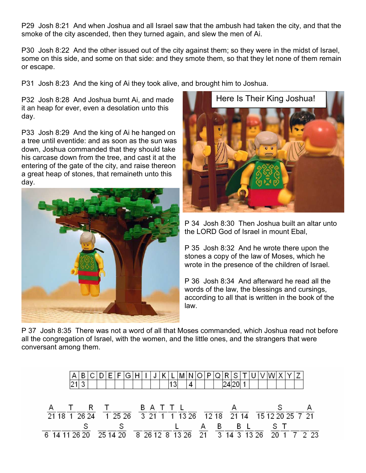P29 Josh 8:21 And when Joshua and all Israel saw that the ambush had taken the city, and that the smoke of the city ascended, then they turned again, and slew the men of Ai.

P30 Josh 8:22 And the other issued out of the city against them; so they were in the midst of Israel, some on this side, and some on that side: and they smote them, so that they let none of them remain or escape.

P31 Josh 8:23 And the king of Ai they took alive, and brought him to Joshua.

P32 Josh 8:28 And Joshua burnt Ai, and made it an heap for ever, even a desolation unto this day.

P33 Josh 8:29 And the king of Ai he hanged on a tree until eventide: and as soon as the sun was down, Joshua commanded that they should take his carcase down from the tree, and cast it at the entering of the gate of the city, and raise thereon a great heap of stones, that remaineth unto this day.





P 34 Josh 8:30 Then Joshua built an altar unto the LORD God of Israel in mount Ebal,

P 35 Josh 8:32 And he wrote there upon the stones a copy of the law of Moses, which he wrote in the presence of the children of Israel.

P 36 Josh 8:34 And afterward he read all the words of the law, the blessings and cursings, according to all that is written in the book of the law.

P 37 Josh 8:35 There was not a word of all that Moses commanded, which Joshua read not before all the congregation of Israel, with the women, and the little ones, and the strangers that were conversant among them.

|                                                                                                                                                                                                                                                                                                                                                                          |           |  |  |  |  | 13 | 4 |                |  |         |  |     |  |  |
|--------------------------------------------------------------------------------------------------------------------------------------------------------------------------------------------------------------------------------------------------------------------------------------------------------------------------------------------------------------------------|-----------|--|--|--|--|----|---|----------------|--|---------|--|-----|--|--|
|                                                                                                                                                                                                                                                                                                                                                                          |           |  |  |  |  |    |   |                |  |         |  |     |  |  |
|                                                                                                                                                                                                                                                                                                                                                                          |           |  |  |  |  |    |   |                |  |         |  |     |  |  |
|                                                                                                                                                                                                                                                                                                                                                                          | TRT BATTL |  |  |  |  |    |   | $\overline{A}$ |  |         |  |     |  |  |
| $\overline{21}$ $\overline{18}$ $\overline{1}$ $\overline{26}$ $\overline{24}$ $\overline{1}$ $\overline{25}$ $\overline{26}$ $\overline{3}$ $\overline{21}$ $\overline{1}$ $\overline{1}$ $\overline{13}$ $\overline{26}$ $\overline{12}$ $\overline{18}$ $\overline{21}$ $\overline{14}$ $\overline{15}$ $\overline{12}$ $\overline{20}$ $\overline{25}$ $\overline{7$ |           |  |  |  |  |    |   |                |  |         |  |     |  |  |
|                                                                                                                                                                                                                                                                                                                                                                          |           |  |  |  |  |    |   |                |  | A B B L |  | -ST |  |  |
| 6 14 11 26 20 25 14 20 8 26 12 8 13 26 21 3 14 3 13 26 20 1 7 2 23                                                                                                                                                                                                                                                                                                       |           |  |  |  |  |    |   |                |  |         |  |     |  |  |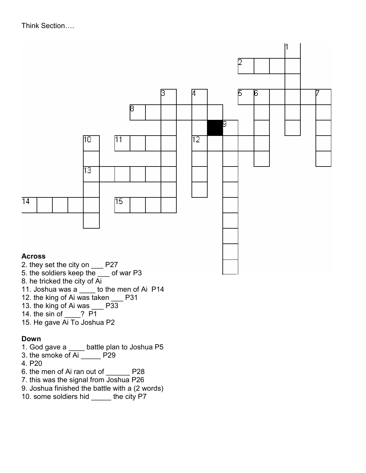### Think Section….



- 5. the soldiers keep the \_\_\_ of war P3
- 8. he tricked the city of Ai
- 11. Joshua was a \_\_\_\_ to the men of Ai P14
- 12. the king of Ai was taken P31
- 13. the king of Ai was P33
- 14. the sin of \_\_\_\_? P1
- 15. He gave Ai To Joshua P2

#### Down

- 1. God gave a \_\_\_\_ battle plan to Joshua P5
- 3. the smoke of Ai P29
- 4. P20
- 6. the men of Ai ran out of \_\_\_\_\_\_ P28
- 7. this was the signal from Joshua P26
- 9. Joshua finished the battle with a (2 words)
- 10. some soldiers hid \_\_\_\_\_ the city P7